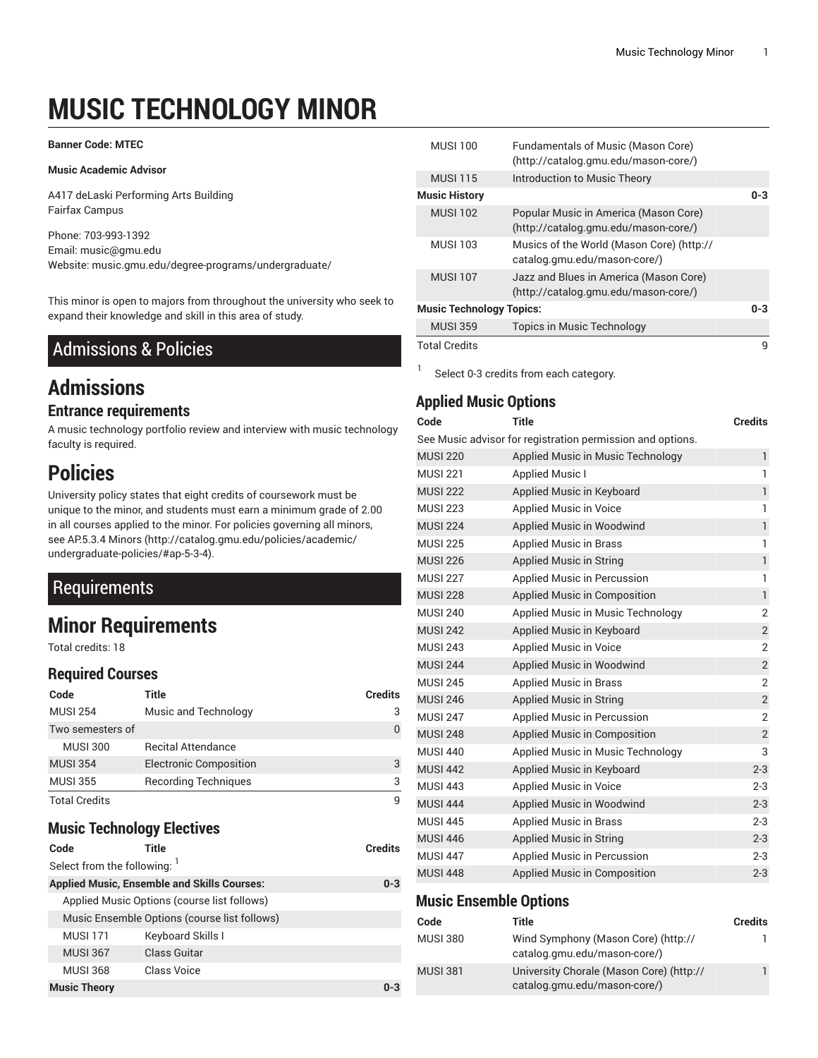# **MUSIC TECHNOLOGY MINOR**

#### **Banner Code: MTEC**

#### **Music Academic Advisor**

A417 deLaski Performing Arts Building Fairfax Campus

Phone: 703-993-1392 Email: [music@gmu.edu](mailto:music@gmu.edu) Website: music.gmu.edu/degree-programs/undergraduate/

This minor is open to majors from throughout the university who seek to expand their knowledge and skill in this area of study.

# Admissions & Policies

# **Admissions**

#### **Entrance requirements**

A music technology portfolio review and interview with music technology faculty is required.

# **Policies**

University policy states that eight credits of coursework must be unique to the minor, and students must earn a minimum grade of 2.00 in all courses applied to the minor. For policies governing all minors, see [AP.5.3.4](http://catalog.gmu.edu/policies/academic/undergraduate-policies/#ap-5-3-4) Minors ([http://catalog.gmu.edu/policies/academic/](http://catalog.gmu.edu/policies/academic/undergraduate-policies/#ap-5-3-4) [undergraduate-policies/#ap-5-3-4\)](http://catalog.gmu.edu/policies/academic/undergraduate-policies/#ap-5-3-4).

# **Requirements**

# **Minor Requirements**

Total credits: 18

### **Required Courses**

| Code                 | Title                         | <b>Credits</b> |
|----------------------|-------------------------------|----------------|
| <b>MUSI 254</b>      | Music and Technology          | 3              |
| Two semesters of     |                               | 0              |
| <b>MUSI 300</b>      | <b>Recital Attendance</b>     |                |
| <b>MUSI 354</b>      | <b>Electronic Composition</b> | 3              |
| <b>MUSI 355</b>      | <b>Recording Techniques</b>   | 3              |
| <b>Total Credits</b> |                               | q              |

### **Music Technology Electives**

```
Code Title Credits
Select from the following: 1
Applied Music, Ensemble and Skills Courses: 0-3
 Applied Music Options (course list follows)
 Music Ensemble Options (course list follows)
 MUSI 171 Keyboard Skills I
 MUSI 367 Class Guitar
 MUSI 368 Class Voice
Music Theory 0-3
```

| <b>MUSI 100</b>                 | <b>Fundamentals of Music (Mason Core)</b><br>(http://catalog.gmu.edu/mason-core/) |         |
|---------------------------------|-----------------------------------------------------------------------------------|---------|
| <b>MUSI 115</b>                 | Introduction to Music Theory                                                      |         |
| <b>Music History</b>            |                                                                                   | $0 - 3$ |
| <b>MUSL102</b>                  | Popular Music in America (Mason Core)<br>(http://catalog.gmu.edu/mason-core/)     |         |
| <b>MUSI 103</b>                 | Musics of the World (Mason Core) (http://<br>catalog.gmu.edu/mason-core/)         |         |
| <b>MUSI 107</b>                 | Jazz and Blues in America (Mason Core)<br>(http://catalog.gmu.edu/mason-core/)    |         |
| <b>Music Technology Topics:</b> |                                                                                   | $0 - 3$ |
| <b>MUSI 359</b>                 | Topics in Music Technology                                                        |         |
| <b>Total Credits</b>            |                                                                                   | q       |

Select 0-3 credits from each category.

## **Applied Music Options**

1

| Code            | <b>Title</b>                                               | <b>Credits</b> |
|-----------------|------------------------------------------------------------|----------------|
|                 | See Music advisor for registration permission and options. |                |
| <b>MUSI 220</b> | Applied Music in Music Technology                          | $\mathbf{1}$   |
| <b>MUSI 221</b> | <b>Applied Music I</b>                                     | 1              |
| <b>MUSI 222</b> | Applied Music in Keyboard                                  | $\mathbf{1}$   |
| <b>MUSI 223</b> | Applied Music in Voice                                     | $\mathbf{1}$   |
| <b>MUSI 224</b> | Applied Music in Woodwind                                  | $\mathbf{1}$   |
| <b>MUSI 225</b> | <b>Applied Music in Brass</b>                              | 1              |
| <b>MUSI 226</b> | <b>Applied Music in String</b>                             | $\mathbf{1}$   |
| <b>MUSI 227</b> | Applied Music in Percussion                                | 1              |
| <b>MUSI 228</b> | Applied Music in Composition                               | $\mathbf{1}$   |
| <b>MUSI 240</b> | Applied Music in Music Technology                          | $\overline{2}$ |
| <b>MUSI 242</b> | Applied Music in Keyboard                                  | $\overline{2}$ |
| <b>MUSI 243</b> | <b>Applied Music in Voice</b>                              | $\overline{2}$ |
| <b>MUSI 244</b> | Applied Music in Woodwind                                  | $\overline{2}$ |
| <b>MUSI 245</b> | <b>Applied Music in Brass</b>                              | 2              |
| <b>MUSI 246</b> | <b>Applied Music in String</b>                             | $\overline{2}$ |
| <b>MUSI 247</b> | Applied Music in Percussion                                | 2              |
| <b>MUSI 248</b> | Applied Music in Composition                               | $\overline{2}$ |
| <b>MUSI 440</b> | Applied Music in Music Technology                          | 3              |
| <b>MUSI 442</b> | Applied Music in Keyboard                                  | $2 - 3$        |
| <b>MUSI 443</b> | Applied Music in Voice                                     | $2 - 3$        |
| <b>MUSI 444</b> | Applied Music in Woodwind                                  | $2 - 3$        |
| <b>MUSI 445</b> | <b>Applied Music in Brass</b>                              | $2 - 3$        |
| <b>MUSI 446</b> | <b>Applied Music in String</b>                             | $2 - 3$        |
| <b>MUSI 447</b> | Applied Music in Percussion                                | $2 - 3$        |
| <b>MUSI 448</b> | Applied Music in Composition                               | $2 - 3$        |
|                 |                                                            |                |

#### **Music Ensemble Options**

| Code            | Title                                                                    | <b>Credits</b> |
|-----------------|--------------------------------------------------------------------------|----------------|
| <b>MUSI 380</b> | Wind Symphony (Mason Core) (http://<br>catalog.gmu.edu/mason-core/)      | L              |
| <b>MUSI 381</b> | University Chorale (Mason Core) (http://<br>catalog.gmu.edu/mason-core/) |                |